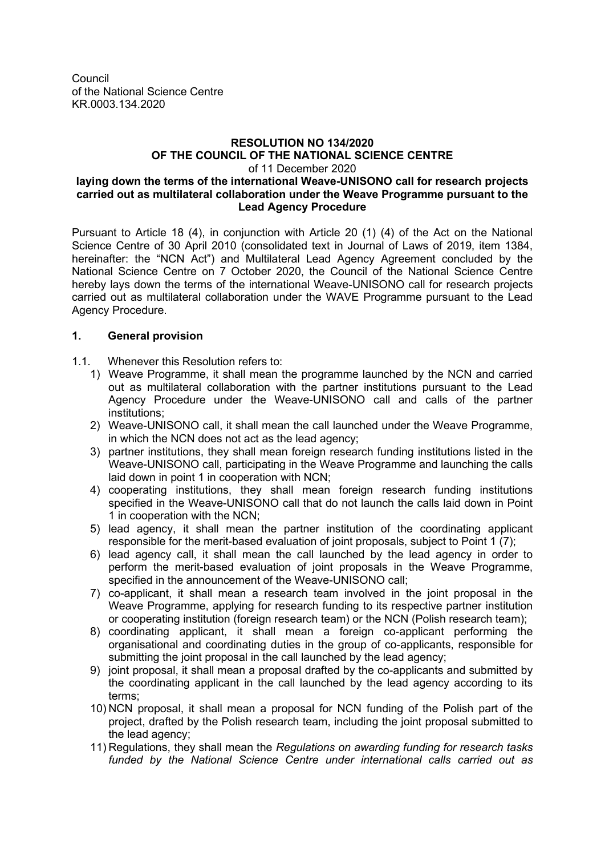Council of the National Science Centre KR.0003.134.2020

#### **RESOLUTION NO 134/2020 OF THE COUNCIL OF THE NATIONAL SCIENCE CENTRE** of 11 December 2020 **laying down the terms of the international Weave-UNISONO call for research projects carried out as multilateral collaboration under the Weave Programme pursuant to the Lead Agency Procedure**

Pursuant to Article 18 (4), in conjunction with Article 20 (1) (4) of the Act on the National Science Centre of 30 April 2010 (consolidated text in Journal of Laws of 2019, item 1384, hereinafter: the "NCN Act") and Multilateral Lead Agency Agreement concluded by the National Science Centre on 7 October 2020, the Council of the National Science Centre hereby lays down the terms of the international Weave-UNISONO call for research projects carried out as multilateral collaboration under the WAVE Programme pursuant to the Lead Agency Procedure.

# **1. General provision**

1.1. Whenever this Resolution refers to:

- 1) Weave Programme, it shall mean the programme launched by the NCN and carried out as multilateral collaboration with the partner institutions pursuant to the Lead Agency Procedure under the Weave-UNISONO call and calls of the partner institutions;
- 2) Weave-UNISONO call, it shall mean the call launched under the Weave Programme, in which the NCN does not act as the lead agency;
- 3) partner institutions, they shall mean foreign research funding institutions listed in the Weave-UNISONO call, participating in the Weave Programme and launching the calls laid down in point 1 in cooperation with NCN;
- 4) cooperating institutions, they shall mean foreign research funding institutions specified in the Weave-UNISONO call that do not launch the calls laid down in Point 1 in cooperation with the NCN;
- 5) lead agency, it shall mean the partner institution of the coordinating applicant responsible for the merit-based evaluation of joint proposals, subject to Point 1 (7);
- 6) lead agency call, it shall mean the call launched by the lead agency in order to perform the merit-based evaluation of joint proposals in the Weave Programme, specified in the announcement of the Weave-UNISONO call;
- 7) co-applicant, it shall mean a research team involved in the joint proposal in the Weave Programme, applying for research funding to its respective partner institution or cooperating institution (foreign research team) or the NCN (Polish research team);
- 8) coordinating applicant, it shall mean a foreign co-applicant performing the organisational and coordinating duties in the group of co-applicants, responsible for submitting the joint proposal in the call launched by the lead agency;
- 9) joint proposal, it shall mean a proposal drafted by the co-applicants and submitted by the coordinating applicant in the call launched by the lead agency according to its terms;
- 10) NCN proposal, it shall mean a proposal for NCN funding of the Polish part of the project, drafted by the Polish research team, including the joint proposal submitted to the lead agency;
- 11) Regulations, they shall mean the *Regulations on awarding funding for research tasks funded by the National Science Centre under international calls carried out as*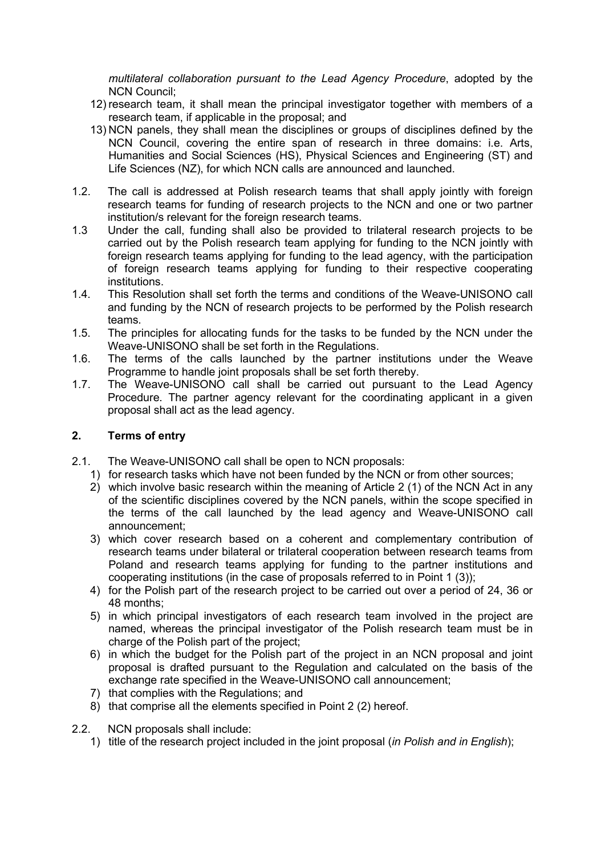*multilateral collaboration pursuant to the Lead Agency Procedure*, adopted by the NCN Council;

- 12) research team, it shall mean the principal investigator together with members of a research team, if applicable in the proposal; and
- 13) NCN panels, they shall mean the disciplines or groups of disciplines defined by the NCN Council, covering the entire span of research in three domains: i.e. Arts, Humanities and Social Sciences (HS), Physical Sciences and Engineering (ST) and Life Sciences (NZ), for which NCN calls are announced and launched.
- 1.2. The call is addressed at Polish research teams that shall apply jointly with foreign research teams for funding of research projects to the NCN and one or two partner institution/s relevant for the foreign research teams.
- 1.3 Under the call, funding shall also be provided to trilateral research projects to be carried out by the Polish research team applying for funding to the NCN jointly with foreign research teams applying for funding to the lead agency, with the participation of foreign research teams applying for funding to their respective cooperating institutions.
- 1.4. This Resolution shall set forth the terms and conditions of the Weave-UNISONO call and funding by the NCN of research projects to be performed by the Polish research teams.
- 1.5. The principles for allocating funds for the tasks to be funded by the NCN under the Weave-UNISONO shall be set forth in the Regulations.
- 1.6. The terms of the calls launched by the partner institutions under the Weave Programme to handle joint proposals shall be set forth thereby.
- 1.7. The Weave-UNISONO call shall be carried out pursuant to the Lead Agency Procedure. The partner agency relevant for the coordinating applicant in a given proposal shall act as the lead agency.

### **2. Terms of entry**

- 2.1. The Weave-UNISONO call shall be open to NCN proposals:
	- 1) for research tasks which have not been funded by the NCN or from other sources;
	- 2) which involve basic research within the meaning of Article 2 (1) of the NCN Act in any of the scientific disciplines covered by the NCN panels, within the scope specified in the terms of the call launched by the lead agency and Weave-UNISONO call announcement;
	- 3) which cover research based on a coherent and complementary contribution of research teams under bilateral or trilateral cooperation between research teams from Poland and research teams applying for funding to the partner institutions and cooperating institutions (in the case of proposals referred to in Point 1 (3));
	- 4) for the Polish part of the research project to be carried out over a period of 24, 36 or 48 months;
	- 5) in which principal investigators of each research team involved in the project are named, whereas the principal investigator of the Polish research team must be in charge of the Polish part of the project;
	- 6) in which the budget for the Polish part of the project in an NCN proposal and joint proposal is drafted pursuant to the Regulation and calculated on the basis of the exchange rate specified in the Weave-UNISONO call announcement;
	- 7) that complies with the Regulations; and
	- 8) that comprise all the elements specified in Point 2 (2) hereof.
- 2.2. NCN proposals shall include:
	- 1) title of the research project included in the joint proposal (*in Polish and in English*);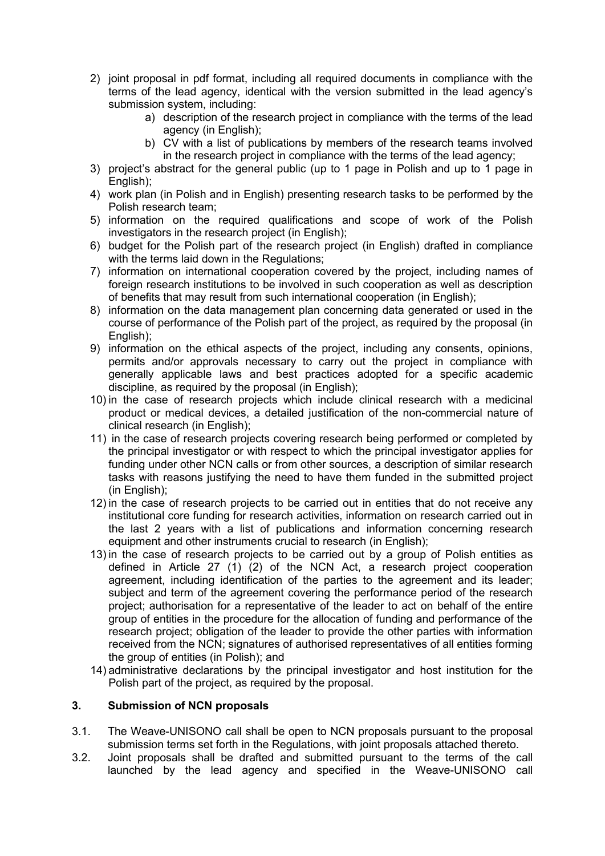- 2) joint proposal in pdf format, including all required documents in compliance with the terms of the lead agency, identical with the version submitted in the lead agency's submission system, including:
	- a) description of the research project in compliance with the terms of the lead agency (in English);
	- b) CV with a list of publications by members of the research teams involved in the research project in compliance with the terms of the lead agency;
- 3) project's abstract for the general public (up to 1 page in Polish and up to 1 page in English);
- 4) work plan (in Polish and in English) presenting research tasks to be performed by the Polish research team;
- 5) information on the required qualifications and scope of work of the Polish investigators in the research project (in English);
- 6) budget for the Polish part of the research project (in English) drafted in compliance with the terms laid down in the Regulations:
- 7) information on international cooperation covered by the project, including names of foreign research institutions to be involved in such cooperation as well as description of benefits that may result from such international cooperation (in English);
- 8) information on the data management plan concerning data generated or used in the course of performance of the Polish part of the project, as required by the proposal (in English):
- 9) information on the ethical aspects of the project, including any consents, opinions, permits and/or approvals necessary to carry out the project in compliance with generally applicable laws and best practices adopted for a specific academic discipline, as required by the proposal (in English);
- 10) in the case of research projects which include clinical research with a medicinal product or medical devices, a detailed justification of the non-commercial nature of clinical research (in English);
- 11) in the case of research projects covering research being performed or completed by the principal investigator or with respect to which the principal investigator applies for funding under other NCN calls or from other sources, a description of similar research tasks with reasons justifying the need to have them funded in the submitted project (in English);
- 12) in the case of research projects to be carried out in entities that do not receive any institutional core funding for research activities, information on research carried out in the last 2 years with a list of publications and information concerning research equipment and other instruments crucial to research (in English);
- 13) in the case of research projects to be carried out by a group of Polish entities as defined in Article 27 (1) (2) of the NCN Act, a research project cooperation agreement, including identification of the parties to the agreement and its leader; subject and term of the agreement covering the performance period of the research project; authorisation for a representative of the leader to act on behalf of the entire group of entities in the procedure for the allocation of funding and performance of the research project; obligation of the leader to provide the other parties with information received from the NCN; signatures of authorised representatives of all entities forming the group of entities (in Polish); and
- 14) administrative declarations by the principal investigator and host institution for the Polish part of the project, as required by the proposal.

### **3. Submission of NCN proposals**

- 3.1. The Weave-UNISONO call shall be open to NCN proposals pursuant to the proposal submission terms set forth in the Regulations, with joint proposals attached thereto.
- 3.2. Joint proposals shall be drafted and submitted pursuant to the terms of the call launched by the lead agency and specified in the Weave-UNISONO call